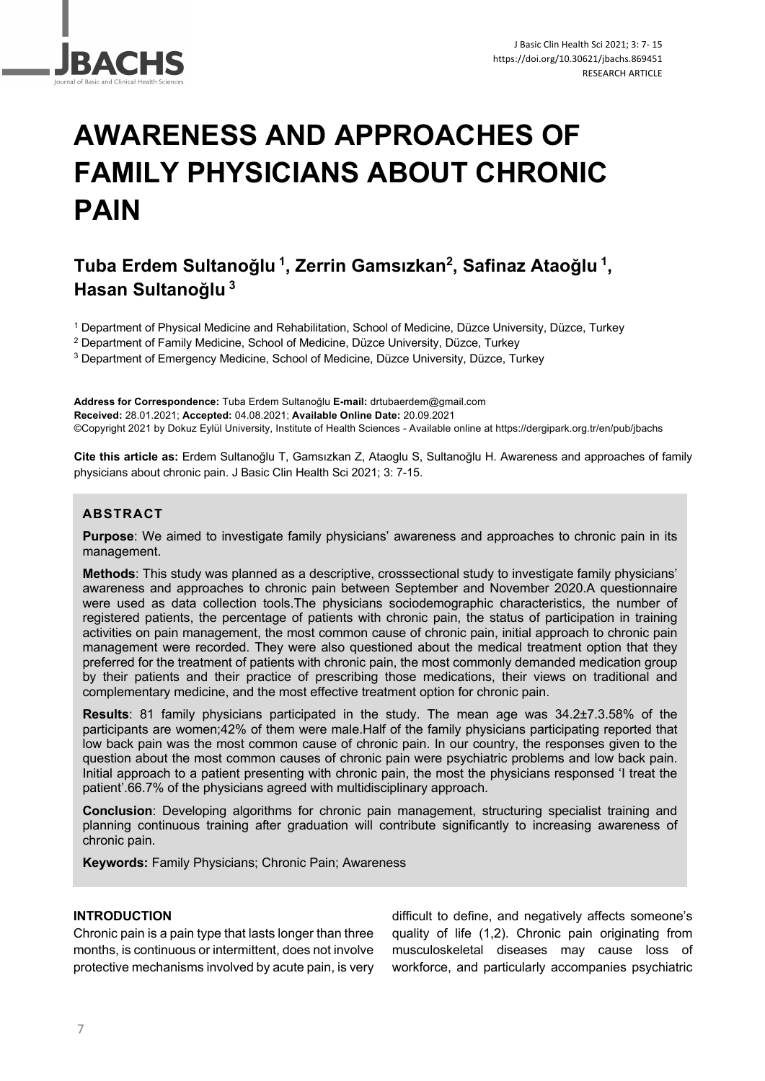

# **AWARENESS AND APPROACHES OF FAMILY PHYSICIANS ABOUT CHRONIC PAIN**

# **Tuba Erdem Sultanoğlu <sup>1</sup> , Zerrin Gamsızkan2 , Safinaz Ataoğlu <sup>1</sup> , Hasan Sultanoğlu <sup>3</sup>**

<sup>1</sup> Department of Physical Medicine and Rehabilitation, School of Medicine, Düzce University, Düzce, Turkey

<sup>2</sup> Department of Family Medicine, School of Medicine, Düzce University, Düzce, Turkey

<sup>3</sup> Department of Emergency Medicine, School of Medicine, Düzce University, Düzce, Turkey

**Address for Correspondence:** Tuba Erdem Sultanoğlu **E-mail:** drtubaerdem@gmail.com **Received:** 28.01.2021; **Accepted:** 04.08.2021; **Available Online Date:** 20.09.2021 ©Copyright 2021 by Dokuz Eylül University, Institute of Health Sciences - Available online at https://dergipark.org.tr/en/pub/jbachs

**Cite this article as:** Erdem Sultanoğlu T, Gamsızkan Z, Ataoglu S, Sultanoğlu H. Awareness and approaches of family physicians about chronic pain. J Basic Clin Health Sci 2021; 3: 7-15.

# **ABSTRACT**

**Purpose**: We aimed to investigate family physicians' awareness and approaches to chronic pain in its management.

**Methods**: This study was planned as a descriptive, crosssectional study to investigate family physicians' awareness and approaches to chronic pain between September and November 2020.A questionnaire were used as data collection tools.The physicians sociodemographic characteristics, the number of registered patients, the percentage of patients with chronic pain, the status of participation in training activities on pain management, the most common cause of chronic pain, initial approach to chronic pain management were recorded. They were also questioned about the medical treatment option that they preferred for the treatment of patients with chronic pain, the most commonly demanded medication group by their patients and their practice of prescribing those medications, their views on traditional and complementary medicine, and the most effective treatment option for chronic pain.

**Results**: 81 family physicians participated in the study. The mean age was 34.2±7.3.58% of the participants are women;42% of them were male.Half of the family physicians participating reported that low back pain was the most common cause of chronic pain. In our country, the responses given to the question about the most common causes of chronic pain were psychiatric problems and low back pain. Initial approach to a patient presenting with chronic pain, the most the physicians responsed 'I treat the patient'.66.7% of the physicians agreed with multidisciplinary approach.

**Conclusion**: Developing algorithms for chronic pain management, structuring specialist training and planning continuous training after graduation will contribute significantly to increasing awareness of chronic pain.

**Keywords:** Family Physicians; Chronic Pain; Awareness

# **INTRODUCTION**

Chronic pain is a pain type that lasts longer than three months, is continuous or intermittent, does not involve protective mechanisms involved by acute pain, is very

difficult to define, and negatively affects someone's quality of life (1,2). Chronic pain originating from musculoskeletal diseases may cause loss of workforce, and particularly accompanies psychiatric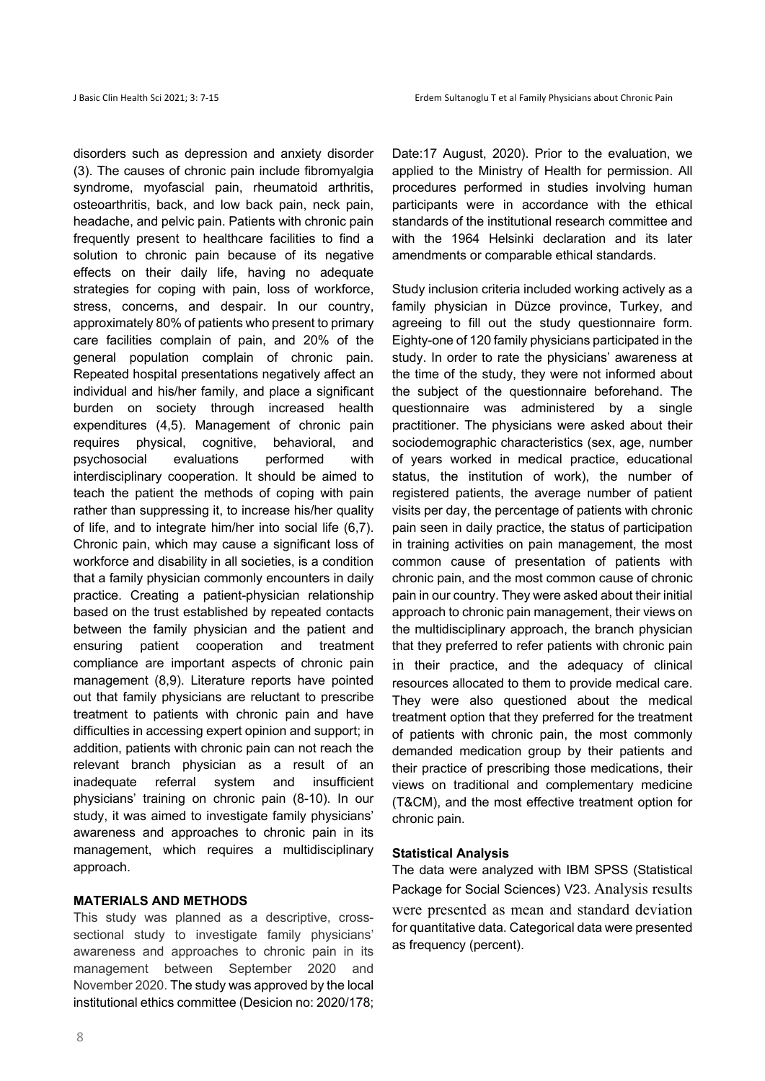disorders such as depression and anxiety disorder (3). The causes of chronic pain include fibromyalgia syndrome, myofascial pain, rheumatoid arthritis, osteoarthritis, back, and low back pain, neck pain, headache, and pelvic pain. Patients with chronic pain frequently present to healthcare facilities to find a solution to chronic pain because of its negative effects on their daily life, having no adequate strategies for coping with pain, loss of workforce, stress, concerns, and despair. In our country, approximately 80% of patients who present to primary care facilities complain of pain, and 20% of the general population complain of chronic pain. Repeated hospital presentations negatively affect an individual and his/her family, and place a significant burden on society through increased health expenditures (4,5). Management of chronic pain requires physical, cognitive, behavioral, and psychosocial evaluations performed with interdisciplinary cooperation. It should be aimed to teach the patient the methods of coping with pain rather than suppressing it, to increase his/her quality of life, and to integrate him/her into social life (6,7). Chronic pain, which may cause a significant loss of workforce and disability in all societies, is a condition that a family physician commonly encounters in daily practice. Creating a patient-physician relationship based on the trust established by repeated contacts between the family physician and the patient and ensuring patient cooperation and treatment compliance are important aspects of chronic pain management (8,9). Literature reports have pointed out that family physicians are reluctant to prescribe treatment to patients with chronic pain and have difficulties in accessing expert opinion and support; in addition, patients with chronic pain can not reach the relevant branch physician as a result of an inadequate referral system and insufficient physicians' training on chronic pain (8-10). In our study, it was aimed to investigate family physicians' awareness and approaches to chronic pain in its management, which requires a multidisciplinary approach.

#### **MATERIALS AND METHODS**

This study was planned as a descriptive, crosssectional study to investigate family physicians' awareness and approaches to chronic pain in its management between September 2020 and November 2020. The study was approved by the local institutional ethics committee (Desicion no: 2020/178;

Date:17 August, 2020). Prior to the evaluation, we applied to the Ministry of Health for permission. All procedures performed in studies involving human participants were in accordance with the ethical standards of the institutional research committee and with the 1964 Helsinki declaration and its later amendments or comparable ethical standards.

Study inclusion criteria included working actively as a family physician in Düzce province, Turkey, and agreeing to fill out the study questionnaire form. Eighty-one of 120 family physicians participated in the study. In order to rate the physicians' awareness at the time of the study, they were not informed about the subject of the questionnaire beforehand. The questionnaire was administered by a single practitioner. The physicians were asked about their sociodemographic characteristics (sex, age, number of years worked in medical practice, educational status, the institution of work), the number of registered patients, the average number of patient visits per day, the percentage of patients with chronic pain seen in daily practice, the status of participation in training activities on pain management, the most common cause of presentation of patients with chronic pain, and the most common cause of chronic pain in our country. They were asked about their initial approach to chronic pain management, their views on the multidisciplinary approach, the branch physician that they preferred to refer patients with chronic pain in their practice, and the adequacy of clinical resources allocated to them to provide medical care. They were also questioned about the medical treatment option that they preferred for the treatment of patients with chronic pain, the most commonly demanded medication group by their patients and their practice of prescribing those medications, their views on traditional and complementary medicine (T&CM), and the most effective treatment option for chronic pain.

#### **Statistical Analysis**

The data were analyzed with IBM SPSS (Statistical Package for Social Sciences) V23. Analysis results were presented as mean and standard deviation for quantitative data. Categorical data were presented as frequency (percent).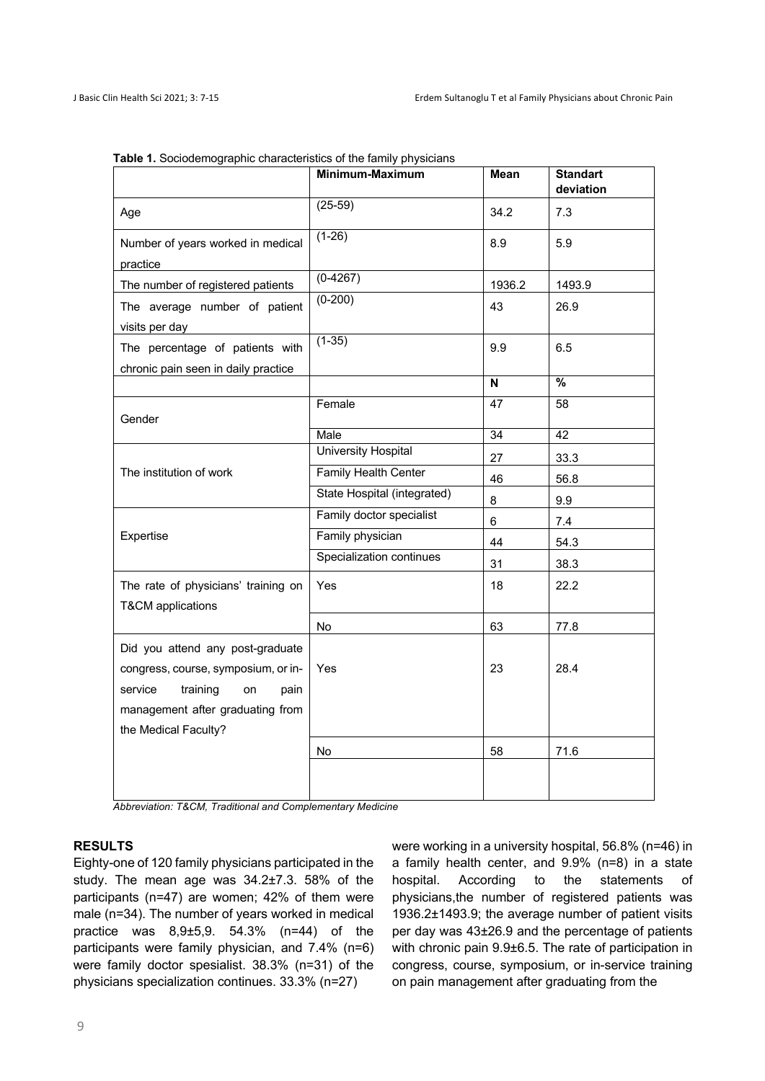|                                                                                                                                                                          | Minimum-Maximum             | Mean   | <b>Standart</b><br>deviation |
|--------------------------------------------------------------------------------------------------------------------------------------------------------------------------|-----------------------------|--------|------------------------------|
| Age                                                                                                                                                                      | $(25-59)$                   | 34.2   | 7.3                          |
| Number of years worked in medical<br>practice                                                                                                                            | $(1-26)$                    | 8.9    | 5.9                          |
| The number of registered patients                                                                                                                                        | $(0-4267)$                  | 1936.2 | 1493.9                       |
| The average number of patient<br>visits per day                                                                                                                          | $(0-200)$                   | 43     | 26.9                         |
| The percentage of patients with<br>chronic pain seen in daily practice                                                                                                   | $(1-35)$                    | 9.9    | 6.5                          |
|                                                                                                                                                                          |                             | N      | $\overline{\frac{9}{6}}$     |
| Gender                                                                                                                                                                   | Female                      | 47     | 58                           |
|                                                                                                                                                                          | Male                        | 34     | $\overline{42}$              |
|                                                                                                                                                                          | <b>University Hospital</b>  | 27     | 33.3                         |
| The institution of work                                                                                                                                                  | <b>Family Health Center</b> | 46     | 56.8                         |
|                                                                                                                                                                          | State Hospital (integrated) | 8      | 9.9                          |
| Expertise                                                                                                                                                                | Family doctor specialist    | 6      | $7.4$                        |
|                                                                                                                                                                          | Family physician            | 44     | 54.3                         |
|                                                                                                                                                                          | Specialization continues    | 31     | 38.3                         |
| The rate of physicians' training on<br><b>T&amp;CM</b> applications                                                                                                      | Yes                         | 18     | 22.2                         |
|                                                                                                                                                                          | No                          | 63     | 77.8                         |
| Did you attend any post-graduate<br>congress, course, symposium, or in-<br>service<br>training<br>on<br>pain<br>management after graduating from<br>the Medical Faculty? | Yes                         | 23     | 28.4                         |
|                                                                                                                                                                          | No                          | 58     | 71.6                         |
|                                                                                                                                                                          |                             |        |                              |

**Table 1.** Sociodemographic characteristics of the family physicians

*Abbreviation: T&CM, Traditional and Complementary Medicine*

#### **RESULTS**

Eighty-one of 120 family physicians participated in the study. The mean age was 34.2±7.3. 58% of the participants (n=47) are women; 42% of them were male (n=34). The number of years worked in medical practice was 8,9±5,9. 54.3% (n=44) of the participants were family physician, and 7.4% (n=6) were family doctor spesialist. 38.3% (n=31) of the physicians specialization continues. 33.3% (n=27)

were working in a university hospital, 56.8% (n=46) in a family health center, and 9.9% (n=8) in a state hospital. According to the statements of physicians,the number of registered patients was 1936.2±1493.9; the average number of patient visits per day was 43±26.9 and the percentage of patients with chronic pain 9.9±6.5. The rate of participation in congress, course, symposium, or in-service training on pain management after graduating from the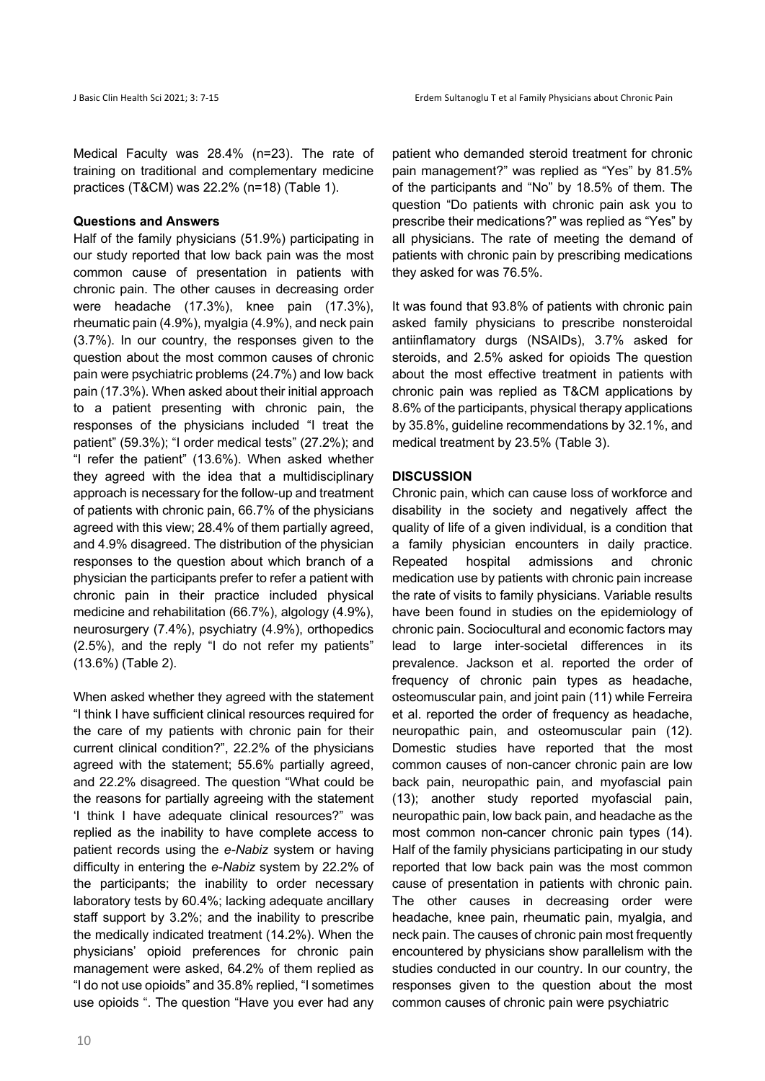Medical Faculty was 28.4% (n=23). The rate of training on traditional and complementary medicine practices (T&CM) was 22.2% (n=18) (Table 1).

#### **Questions and Answers**

Half of the family physicians (51.9%) participating in our study reported that low back pain was the most common cause of presentation in patients with chronic pain. The other causes in decreasing order were headache (17.3%), knee pain (17.3%), rheumatic pain (4.9%), myalgia (4.9%), and neck pain (3.7%). In our country, the responses given to the question about the most common causes of chronic pain were psychiatric problems (24.7%) and low back pain (17.3%). When asked about their initial approach to a patient presenting with chronic pain, the responses of the physicians included "I treat the patient" (59.3%); "I order medical tests" (27.2%); and "I refer the patient" (13.6%). When asked whether they agreed with the idea that a multidisciplinary approach is necessary for the follow-up and treatment of patients with chronic pain, 66.7% of the physicians agreed with this view; 28.4% of them partially agreed, and 4.9% disagreed. The distribution of the physician responses to the question about which branch of a physician the participants prefer to refer a patient with chronic pain in their practice included physical medicine and rehabilitation (66.7%), algology (4.9%), neurosurgery (7.4%), psychiatry (4.9%), orthopedics (2.5%), and the reply "I do not refer my patients" (13.6%) (Table 2).

When asked whether they agreed with the statement "I think I have sufficient clinical resources required for the care of my patients with chronic pain for their current clinical condition?", 22.2% of the physicians agreed with the statement; 55.6% partially agreed, and 22.2% disagreed. The question "What could be the reasons for partially agreeing with the statement 'I think I have adequate clinical resources?" was replied as the inability to have complete access to patient records using the *e-Nabiz* system or having difficulty in entering the *e-Nabiz* system by 22.2% of the participants; the inability to order necessary laboratory tests by 60.4%; lacking adequate ancillary staff support by 3.2%; and the inability to prescribe the medically indicated treatment (14.2%). When the physicians' opioid preferences for chronic pain management were asked, 64.2% of them replied as "I do not use opioids" and 35.8% replied, "I sometimes use opioids ". The question "Have you ever had any patient who demanded steroid treatment for chronic pain management?" was replied as "Yes" by 81.5% of the participants and "No" by 18.5% of them. The question "Do patients with chronic pain ask you to prescribe their medications?" was replied as "Yes" by all physicians. The rate of meeting the demand of patients with chronic pain by prescribing medications they asked for was 76.5%.

It was found that 93.8% of patients with chronic pain asked family physicians to prescribe nonsteroidal antiinflamatory durgs (NSAIDs), 3.7% asked for steroids, and 2.5% asked for opioids The question about the most effective treatment in patients with chronic pain was replied as T&CM applications by 8.6% of the participants, physical therapy applications by 35.8%, guideline recommendations by 32.1%, and medical treatment by 23.5% (Table 3).

#### **DISCUSSION**

Chronic pain, which can cause loss of workforce and disability in the society and negatively affect the quality of life of a given individual, is a condition that a family physician encounters in daily practice. Repeated hospital admissions and chronic medication use by patients with chronic pain increase the rate of visits to family physicians. Variable results have been found in studies on the epidemiology of chronic pain. Sociocultural and economic factors may lead to large inter-societal differences in its prevalence. Jackson et al. reported the order of frequency of chronic pain types as headache, osteomuscular pain, and joint pain (11) while Ferreira et al. reported the order of frequency as headache, neuropathic pain, and osteomuscular pain (12). Domestic studies have reported that the most common causes of non-cancer chronic pain are low back pain, neuropathic pain, and myofascial pain (13); another study reported myofascial pain, neuropathic pain, low back pain, and headache as the most common non-cancer chronic pain types (14). Half of the family physicians participating in our study reported that low back pain was the most common cause of presentation in patients with chronic pain. The other causes in decreasing order were headache, knee pain, rheumatic pain, myalgia, and neck pain. The causes of chronic pain most frequently encountered by physicians show parallelism with the studies conducted in our country. In our country, the responses given to the question about the most common causes of chronic pain were psychiatric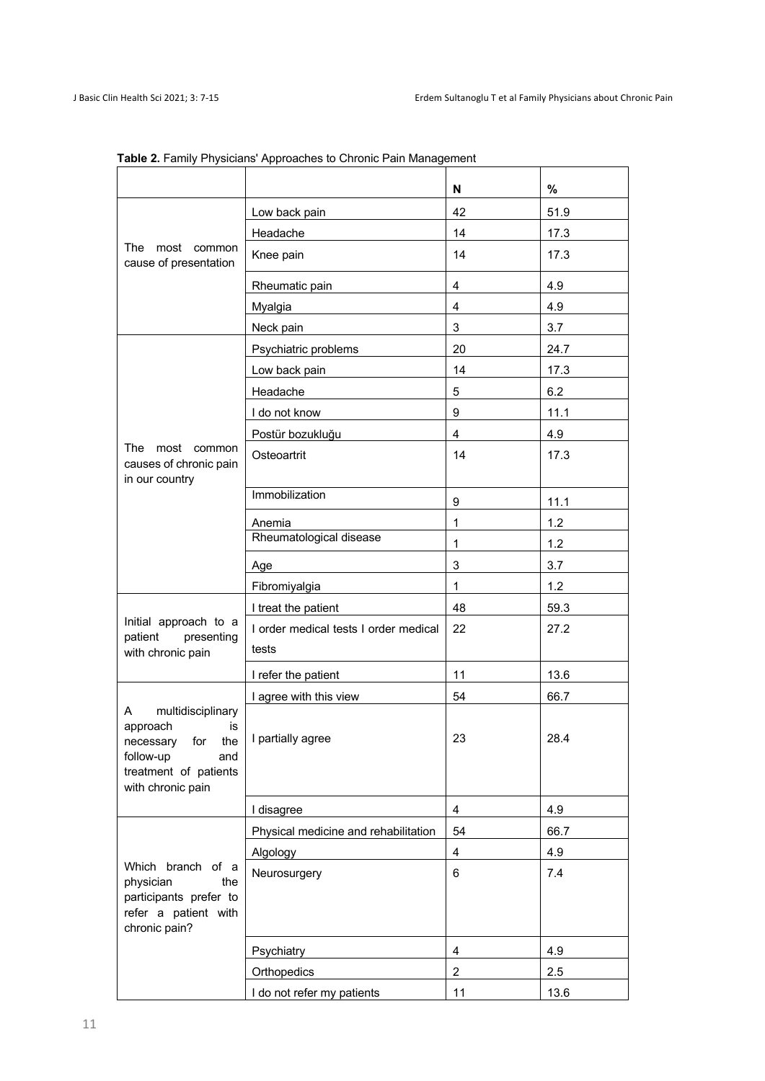|                                                                                                                                 |                                                | N              | $\%$ |
|---------------------------------------------------------------------------------------------------------------------------------|------------------------------------------------|----------------|------|
| The<br>most<br>common<br>cause of presentation                                                                                  | Low back pain                                  | 42             | 51.9 |
|                                                                                                                                 | Headache                                       | 14             | 17.3 |
|                                                                                                                                 | Knee pain                                      | 14             | 17.3 |
|                                                                                                                                 | Rheumatic pain                                 | 4              | 4.9  |
|                                                                                                                                 | Myalgia                                        | 4              | 4.9  |
|                                                                                                                                 | Neck pain                                      | 3              | 3.7  |
|                                                                                                                                 | Psychiatric problems                           | 20             | 24.7 |
|                                                                                                                                 | Low back pain                                  | 14             | 17.3 |
|                                                                                                                                 | Headache                                       | 5              | 6.2  |
|                                                                                                                                 | I do not know                                  | 9              | 11.1 |
|                                                                                                                                 | Postür bozukluğu                               | $\overline{4}$ | 4.9  |
| The<br>most<br>common<br>causes of chronic pain                                                                                 | Osteoartrit                                    | 14             | 17.3 |
| in our country                                                                                                                  | Immobilization                                 |                |      |
|                                                                                                                                 |                                                | 9              | 11.1 |
|                                                                                                                                 | Anemia<br>Rheumatological disease              | 1              | 1.2  |
|                                                                                                                                 |                                                | 1              | 1.2  |
|                                                                                                                                 | Age                                            | 3              | 3.7  |
| Initial approach to a<br>patient<br>presenting<br>with chronic pain                                                             | Fibromiyalgia                                  | $\mathbf{1}$   | 1.2  |
|                                                                                                                                 | I treat the patient                            | 48             | 59.3 |
|                                                                                                                                 | I order medical tests I order medical<br>tests | 22             | 27.2 |
|                                                                                                                                 | I refer the patient                            | 11             | 13.6 |
| multidisciplinary<br>A<br>approach<br>is<br>necessary for the<br>follow-up<br>and<br>treatment of patients<br>with chronic pain | I agree with this view                         | 54             | 66.7 |
|                                                                                                                                 | I partially agree                              | 23             | 28.4 |
|                                                                                                                                 | I disagree                                     | 4              | 4.9  |
| Which branch of a<br>physician<br>the<br>participants prefer to<br>refer a patient with<br>chronic pain?                        | Physical medicine and rehabilitation           | 54             | 66.7 |
|                                                                                                                                 | Algology                                       | 4              | 4.9  |
|                                                                                                                                 | Neurosurgery                                   | 6              | 7.4  |
|                                                                                                                                 | Psychiatry                                     | 4              | 4.9  |
|                                                                                                                                 | Orthopedics                                    | $\overline{2}$ | 2.5  |
|                                                                                                                                 | I do not refer my patients                     | 11             | 13.6 |

**Table 2.** Family Physicians' Approaches to Chronic Pain Management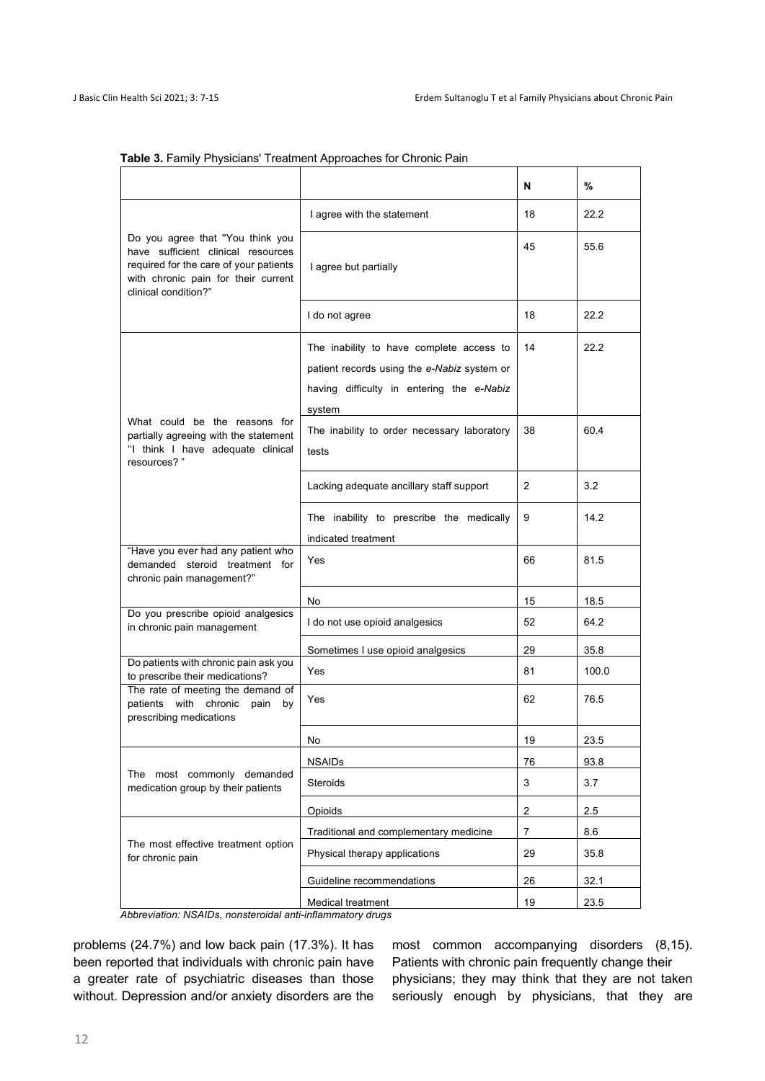|                                                                                                                                                                                 |                                                                                                                                                | N  | %     |
|---------------------------------------------------------------------------------------------------------------------------------------------------------------------------------|------------------------------------------------------------------------------------------------------------------------------------------------|----|-------|
|                                                                                                                                                                                 | I agree with the statement                                                                                                                     | 18 | 22.2  |
| Do you agree that "You think you<br>have sufficient clinical resources<br>required for the care of your patients<br>with chronic pain for their current<br>clinical condition?" | I agree but partially                                                                                                                          | 45 | 55.6  |
|                                                                                                                                                                                 | I do not agree                                                                                                                                 | 18 | 22.2  |
|                                                                                                                                                                                 | The inability to have complete access to<br>patient records using the e-Nabiz system or<br>having difficulty in entering the e-Nabiz<br>system | 14 | 22.2  |
| What could be the reasons for<br>partially agreeing with the statement<br>"I think I have adequate clinical<br>resources? "                                                     | The inability to order necessary laboratory<br>tests                                                                                           | 38 | 60.4  |
|                                                                                                                                                                                 | Lacking adequate ancillary staff support                                                                                                       | 2  | 3.2   |
|                                                                                                                                                                                 | The inability to prescribe the medically<br>indicated treatment                                                                                | 9  | 14.2  |
| "Have you ever had any patient who<br>demanded steroid treatment for<br>chronic pain management?"                                                                               | Yes                                                                                                                                            | 66 | 81.5  |
|                                                                                                                                                                                 | No                                                                                                                                             | 15 | 18.5  |
| Do you prescribe opioid analgesics<br>in chronic pain management                                                                                                                | I do not use opioid analgesics                                                                                                                 | 52 | 64.2  |
|                                                                                                                                                                                 | Sometimes I use opioid analgesics                                                                                                              | 29 | 35.8  |
| Do patients with chronic pain ask you<br>to prescribe their medications?                                                                                                        | Yes                                                                                                                                            | 81 | 100.0 |
| The rate of meeting the demand of<br>patients with<br>chronic<br>pain<br>by<br>prescribing medications                                                                          | Yes                                                                                                                                            | 62 | 76.5  |
|                                                                                                                                                                                 | No                                                                                                                                             | 19 | 23.5  |
| The most commonly demanded<br>medication group by their patients                                                                                                                | <b>NSAIDs</b>                                                                                                                                  | 76 | 93.8  |
|                                                                                                                                                                                 | Steroids                                                                                                                                       | 3  | 3.7   |
|                                                                                                                                                                                 | Opioids                                                                                                                                        | 2  | 2.5   |
|                                                                                                                                                                                 | Traditional and complementary medicine                                                                                                         | 7  | 8.6   |
| The most effective treatment option<br>for chronic pain                                                                                                                         | Physical therapy applications                                                                                                                  | 29 | 35.8  |
|                                                                                                                                                                                 | Guideline recommendations                                                                                                                      | 26 | 32.1  |
|                                                                                                                                                                                 | Medical treatment                                                                                                                              | 19 | 23.5  |

#### **Table 3.** Family Physicians' Treatment Approaches for Chronic Pain

*Abbreviation: NSAIDs, nonsteroidal anti-inflammatory drugs*

problems (24.7%) and low back pain (17.3%). It has been reported that individuals with chronic pain have a greater rate of psychiatric diseases than those without. Depression and/or anxiety disorders are the

most common accompanying disorders (8,15). Patients with chronic pain frequently change their physicians; they may think that they are not taken seriously enough by physicians, that they are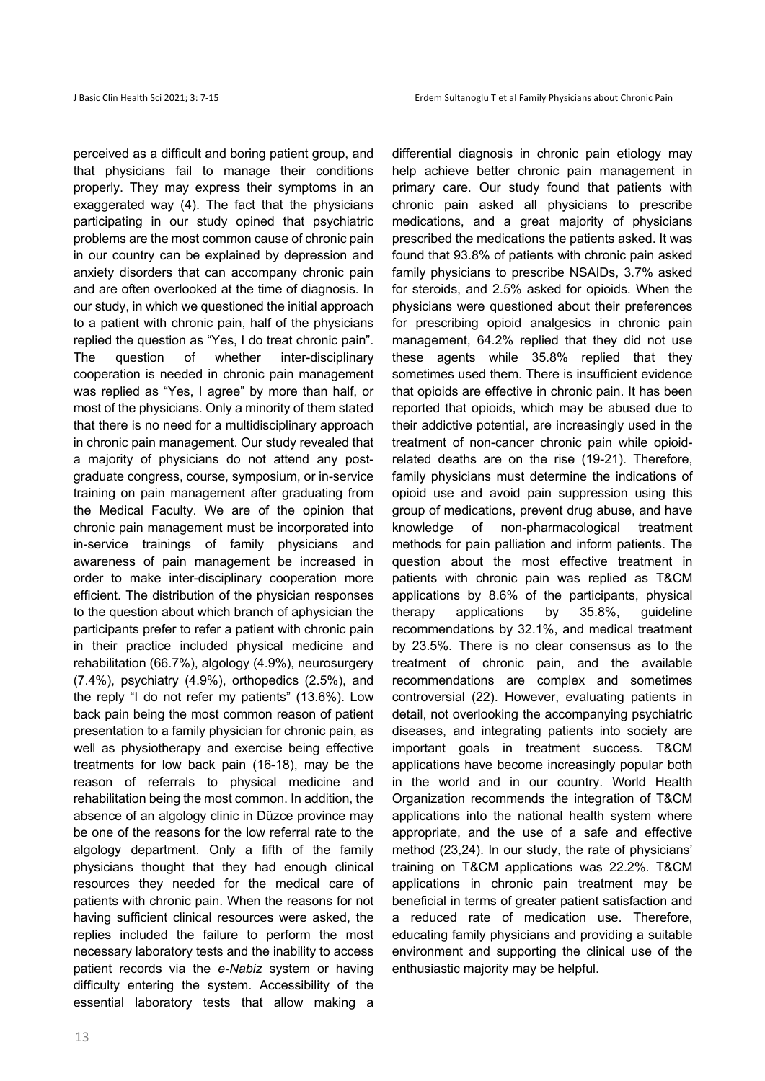perceived as a difficult and boring patient group, and that physicians fail to manage their conditions properly. They may express their symptoms in an exaggerated way (4). The fact that the physicians participating in our study opined that psychiatric problems are the most common cause of chronic pain in our country can be explained by depression and anxiety disorders that can accompany chronic pain and are often overlooked at the time of diagnosis. In our study, in which we questioned the initial approach to a patient with chronic pain, half of the physicians replied the question as "Yes, I do treat chronic pain". The question of whether inter-disciplinary cooperation is needed in chronic pain management was replied as "Yes, I agree" by more than half, or most of the physicians. Only a minority of them stated that there is no need for a multidisciplinary approach in chronic pain management. Our study revealed that a majority of physicians do not attend any postgraduate congress, course, symposium, or in-service training on pain management after graduating from the Medical Faculty. We are of the opinion that chronic pain management must be incorporated into in-service trainings of family physicians and awareness of pain management be increased in order to make inter-disciplinary cooperation more efficient. The distribution of the physician responses to the question about which branch of aphysician the participants prefer to refer a patient with chronic pain in their practice included physical medicine and rehabilitation (66.7%), algology (4.9%), neurosurgery (7.4%), psychiatry (4.9%), orthopedics (2.5%), and the reply "I do not refer my patients" (13.6%). Low back pain being the most common reason of patient presentation to a family physician for chronic pain, as well as physiotherapy and exercise being effective treatments for low back pain (16-18), may be the reason of referrals to physical medicine and rehabilitation being the most common. In addition, the absence of an algology clinic in Düzce province may be one of the reasons for the low referral rate to the algology department. Only a fifth of the family physicians thought that they had enough clinical resources they needed for the medical care of patients with chronic pain. When the reasons for not having sufficient clinical resources were asked, the replies included the failure to perform the most necessary laboratory tests and the inability to access patient records via the *e-Nabiz* system or having difficulty entering the system. Accessibility of the essential laboratory tests that allow making a

13

differential diagnosis in chronic pain etiology may help achieve better chronic pain management in primary care. Our study found that patients with chronic pain asked all physicians to prescribe medications, and a great majority of physicians prescribed the medications the patients asked. It was found that 93.8% of patients with chronic pain asked family physicians to prescribe NSAIDs, 3.7% asked for steroids, and 2.5% asked for opioids. When the physicians were questioned about their preferences for prescribing opioid analgesics in chronic pain management, 64.2% replied that they did not use these agents while 35.8% replied that they sometimes used them. There is insufficient evidence that opioids are effective in chronic pain. It has been reported that opioids, which may be abused due to their addictive potential, are increasingly used in the treatment of non-cancer chronic pain while opioidrelated deaths are on the rise (19-21). Therefore, family physicians must determine the indications of opioid use and avoid pain suppression using this group of medications, prevent drug abuse, and have knowledge of non-pharmacological treatment methods for pain palliation and inform patients. The question about the most effective treatment in patients with chronic pain was replied as T&CM applications by 8.6% of the participants, physical therapy applications by 35.8%, guideline recommendations by 32.1%, and medical treatment by 23.5%. There is no clear consensus as to the treatment of chronic pain, and the available recommendations are complex and sometimes controversial (22). However, evaluating patients in detail, not overlooking the accompanying psychiatric diseases, and integrating patients into society are important goals in treatment success. T&CM applications have become increasingly popular both in the world and in our country. World Health Organization recommends the integration of T&CM applications into the national health system where appropriate, and the use of a safe and effective method (23,24). In our study, the rate of physicians' training on T&CM applications was 22.2%. T&CM applications in chronic pain treatment may be beneficial in terms of greater patient satisfaction and a reduced rate of medication use. Therefore, educating family physicians and providing a suitable environment and supporting the clinical use of the enthusiastic majority may be helpful.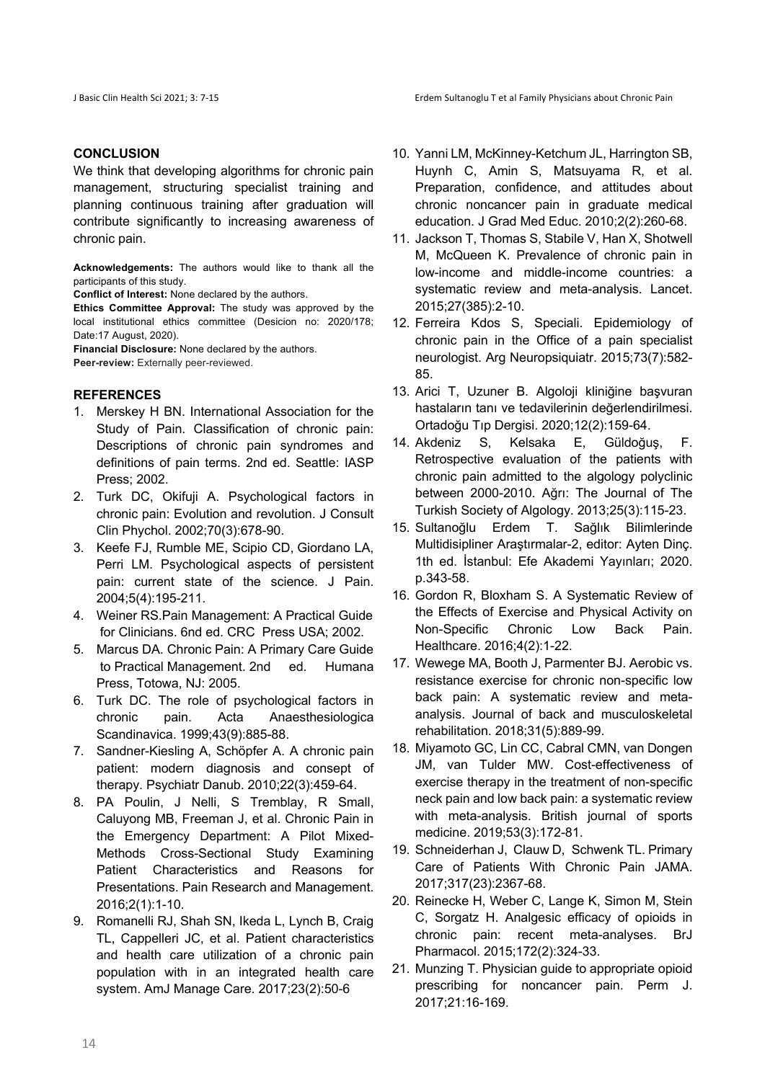## **CONCLUSION**

We think that developing algorithms for chronic pain management, structuring specialist training and planning continuous training after graduation will contribute significantly to increasing awareness of chronic pain.

**Acknowledgements:** The authors would like to thank all the participants of this study.

**Conflict of Interest:** None declared by the authors.

**Ethics Committee Approval:** The study was approved by the local institutional ethics committee (Desicion no: 2020/178; Date:17 August, 2020).

**Financial Disclosure:** None declared by the authors.

Peer-review: Externally peer-reviewed.

### **REFERENCES**

- 1. Merskey H BN. International Association for the Study of Pain. Classification of chronic pain: Descriptions of chronic pain syndromes and definitions of pain terms. 2nd ed. Seattle: IASP Press; 2002.
- 2. Turk DC, Okifuji A. Psychological factors in chronic pain: Evolution and revolution. J Consult Clin Phychol. 2002;70(3):678-90.
- 3. Keefe FJ, Rumble ME, Scipio CD, Giordano LA, Perri LM. Psychological aspects of persistent pain: current state of the science. J Pain. 2004;5(4):195-211.
- 4. Weiner RS.Pain Management: A Practical Guide for Clinicians. 6nd ed. CRC Press USA; 2002.
- 5. Marcus DA. Chronic Pain: A Primary Care Guide to Practical Management. 2nd ed. Humana Press, Totowa, NJ: 2005.
- 6. Turk DC. The role of psychological factors in chronic pain. Acta Anaesthesiologica Scandinavica. 1999;43(9):885-88.
- 7. Sandner-Kiesling A, Schöpfer A. A chronic pain patient: modern diagnosis and consept of therapy. Psychiatr Danub. 2010;22(3):459-64.
- 8. PA Poulin, J Nelli, S Tremblay, R Small, Caluyong MB, Freeman J, et al. Chronic Pain in the Emergency Department: A Pilot Mixed-Methods Cross-Sectional Study Examining Patient Characteristics and Reasons for Presentations. Pain Research and Management. 2016;2(1):1-10.
- 9. Romanelli RJ, Shah SN, Ikeda L, Lynch B, Craig TL, Cappelleri JC, et al. Patient characteristics and health care utilization of a chronic pain population with in an integrated health care system. AmJ Manage Care. 2017;23(2):50-6
- 10. Yanni LM, McKinney-Ketchum JL, Harrington SB, Huynh C, Amin S, Matsuyama R, et al. Preparation, confidence, and attitudes about chronic noncancer pain in graduate medical education. J Grad Med Educ. 2010;2(2):260-68.
- 11. Jackson T, Thomas S, Stabile V, Han X, Shotwell M, McQueen K. Prevalence of chronic pain in low-income and middle-income countries: a systematic review and meta-analysis. Lancet. 2015;27(385):2-10.
- 12. Ferreira Kdos S, Speciali. Epidemiology of chronic pain in the Office of a pain specialist neurologist. Arg Neuropsiquiatr. 2015;73(7):582- 85.
- 13. Arici T, Uzuner B. Algoloji kliniğine başvuran hastaların tanı ve tedavilerinin değerlendirilmesi. Ortadoğu Tıp Dergisi. 2020;12(2):159-64.
- 14. Akdeniz S, Kelsaka E, Güldoğuş, F. Retrospective evaluation of the patients with chronic pain admitted to the algology polyclinic between 2000-2010. Ağrı: The Journal of The Turkish Society of Algology. 2013;25(3):115-23.
- 15. Sultanoğlu Erdem T. Sağlık Bilimlerinde Multidisipliner Araştırmalar-2, editor: Ayten Dinç. 1th ed. İstanbul: Efe Akademi Yayınları; 2020. p.343-58.
- 16. Gordon R, Bloxham S. A Systematic Review of the Effects of Exercise and Physical Activity on Non-Specific Chronic Low Back Pain. Healthcare. 2016;4(2):1-22.
- 17. Wewege MA, Booth J, Parmenter BJ. Aerobic vs. resistance exercise for chronic non-specific low back pain: A systematic review and metaanalysis. Journal of back and musculoskeletal rehabilitation. 2018;31(5):889-99.
- 18. Miyamoto GC, Lin CC, Cabral CMN, van Dongen JM, van Tulder MW. Cost-effectiveness of exercise therapy in the treatment of non-specific neck pain and low back pain: a systematic review with meta-analysis. British journal of sports medicine. 2019;53(3):172-81.
- 19. Schneiderhan J, Clauw D, Schwenk TL. Primary Care of Patients With Chronic Pain JAMA. 2017;317(23):2367-68.
- 20. Reinecke H, Weber C, Lange K, Simon M, Stein C, Sorgatz H. Analgesic efficacy of opioids in chronic pain: recent meta-analyses. BrJ Pharmacol. 2015;172(2):324-33.
- 21. Munzing T. Physician guide to appropriate opioid prescribing for noncancer pain. Perm J. 2017;21:16-169.